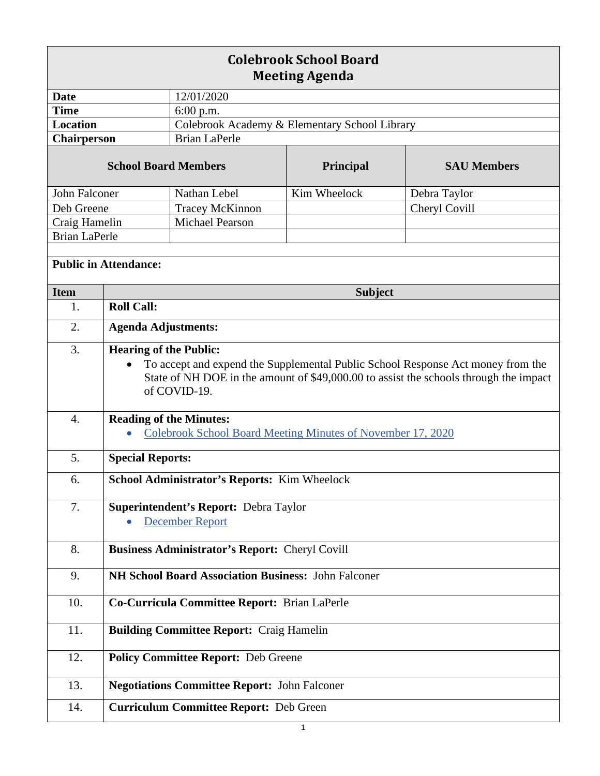| <b>Colebrook School Board</b><br><b>Meeting Agenda</b> |                                                                                                                                                                                          |                                               |              |                    |  |
|--------------------------------------------------------|------------------------------------------------------------------------------------------------------------------------------------------------------------------------------------------|-----------------------------------------------|--------------|--------------------|--|
| <b>Date</b>                                            |                                                                                                                                                                                          | 12/01/2020                                    |              |                    |  |
| <b>Time</b>                                            |                                                                                                                                                                                          | 6:00 p.m.                                     |              |                    |  |
| <b>Location</b>                                        |                                                                                                                                                                                          | Colebrook Academy & Elementary School Library |              |                    |  |
| <b>Chairperson</b>                                     |                                                                                                                                                                                          | <b>Brian LaPerle</b>                          |              |                    |  |
| <b>School Board Members</b>                            |                                                                                                                                                                                          |                                               | Principal    | <b>SAU Members</b> |  |
| John Falconer                                          |                                                                                                                                                                                          | Nathan Lebel                                  | Kim Wheelock | Debra Taylor       |  |
| Deb Greene                                             |                                                                                                                                                                                          | <b>Tracey McKinnon</b>                        |              | Cheryl Covill      |  |
| Craig Hamelin                                          |                                                                                                                                                                                          | <b>Michael Pearson</b>                        |              |                    |  |
| <b>Brian LaPerle</b>                                   |                                                                                                                                                                                          |                                               |              |                    |  |
| <b>Public in Attendance:</b>                           |                                                                                                                                                                                          |                                               |              |                    |  |
| <b>Item</b>                                            | <b>Subject</b>                                                                                                                                                                           |                                               |              |                    |  |
| 1.                                                     | <b>Roll Call:</b>                                                                                                                                                                        |                                               |              |                    |  |
| 2.                                                     | <b>Agenda Adjustments:</b>                                                                                                                                                               |                                               |              |                    |  |
| 3.                                                     | <b>Hearing of the Public:</b>                                                                                                                                                            |                                               |              |                    |  |
|                                                        | To accept and expend the Supplemental Public School Response Act money from the<br>State of NH DOE in the amount of \$49,000.00 to assist the schools through the impact<br>of COVID-19. |                                               |              |                    |  |
| $\overline{4}$ .                                       | <b>Reading of the Minutes:</b><br>Colebrook School Board Meeting Minutes of November 17, 2020                                                                                            |                                               |              |                    |  |
| 5.                                                     | <b>Special Reports:</b>                                                                                                                                                                  |                                               |              |                    |  |
| 6.                                                     | School Administrator's Reports: Kim Wheelock                                                                                                                                             |                                               |              |                    |  |
| 7.                                                     | Superintendent's Report: Debra Taylor<br>December Report                                                                                                                                 |                                               |              |                    |  |
| 8.                                                     | <b>Business Administrator's Report: Cheryl Covill</b>                                                                                                                                    |                                               |              |                    |  |
| 9.                                                     | <b>NH School Board Association Business: John Falconer</b>                                                                                                                               |                                               |              |                    |  |
| 10.                                                    | Co-Curricula Committee Report: Brian LaPerle                                                                                                                                             |                                               |              |                    |  |
| 11.                                                    | <b>Building Committee Report: Craig Hamelin</b>                                                                                                                                          |                                               |              |                    |  |
| 12.                                                    | <b>Policy Committee Report: Deb Greene</b>                                                                                                                                               |                                               |              |                    |  |
| 13.                                                    | <b>Negotiations Committee Report: John Falconer</b>                                                                                                                                      |                                               |              |                    |  |
| 14.                                                    | <b>Curriculum Committee Report: Deb Green</b>                                                                                                                                            |                                               |              |                    |  |